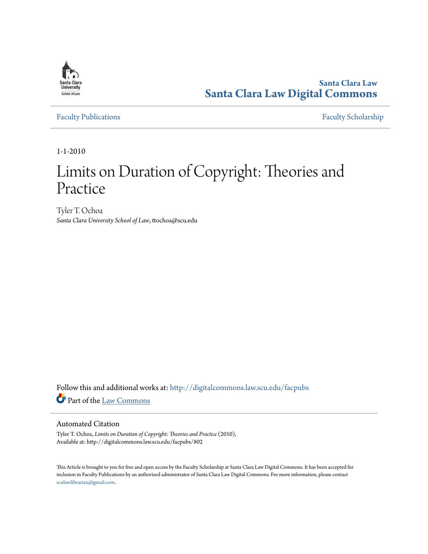

**Santa Clara Law [Santa Clara Law Digital Commons](http://digitalcommons.law.scu.edu?utm_source=digitalcommons.law.scu.edu%2Ffacpubs%2F802&utm_medium=PDF&utm_campaign=PDFCoverPages)**

[Faculty Publications](http://digitalcommons.law.scu.edu/facpubs?utm_source=digitalcommons.law.scu.edu%2Ffacpubs%2F802&utm_medium=PDF&utm_campaign=PDFCoverPages) [Faculty Scholarship](http://digitalcommons.law.scu.edu/faculty?utm_source=digitalcommons.law.scu.edu%2Ffacpubs%2F802&utm_medium=PDF&utm_campaign=PDFCoverPages)

1-1-2010

# Limits on Duration of Copyright: Theories and Practice

Tyler T. Ochoa *Santa Clara University School of Law*, ttochoa@scu.edu

Follow this and additional works at: [http://digitalcommons.law.scu.edu/facpubs](http://digitalcommons.law.scu.edu/facpubs?utm_source=digitalcommons.law.scu.edu%2Ffacpubs%2F802&utm_medium=PDF&utm_campaign=PDFCoverPages) Part of the [Law Commons](http://network.bepress.com/hgg/discipline/578?utm_source=digitalcommons.law.scu.edu%2Ffacpubs%2F802&utm_medium=PDF&utm_campaign=PDFCoverPages)

# Automated Citation

Tyler T. Ochoa, *Limits on Duration of Copyright: Theories and Practice* (2010), Available at: http://digitalcommons.law.scu.edu/facpubs/802

This Article is brought to you for free and open access by the Faculty Scholarship at Santa Clara Law Digital Commons. It has been accepted for inclusion in Faculty Publications by an authorized administrator of Santa Clara Law Digital Commons. For more information, please contact [sculawlibrarian@gmail.com](mailto:sculawlibrarian@gmail.com).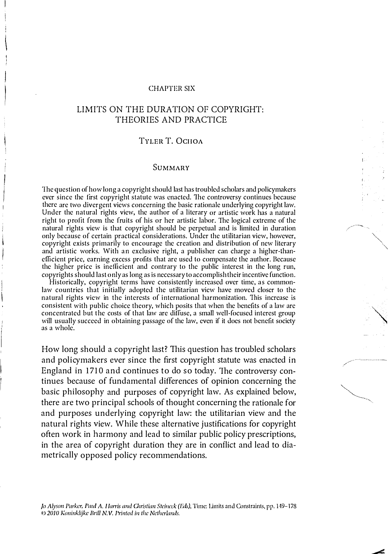#### CHAPTER SIX

# LIMITS ON THE DURATION OF COPYRIGHT: THEORIES AND PRACTICE

## TYLER T. OCHOA

## SUMMARY

1he question of how long a copyright should last has troubled scholars and policymakers ever since the first copyright statute was enacted. 1he controversy continues because there are two divergent views concerning the basic rationale underlying copyright law. Under the natural rights view, the author of a literary or artistic work has a natural right to profit from the fruits of his or her artistic labor. The logical extreme of the natural rights view is that copyright should be perpetual and is limited in duration only because of certain practical considerations. Under the utilitarian view, however, copyright exists primarily to encourage the creation and distribution of new literary and artistic works. With an exclusive right, a publisher can charge a higher-lhaneflicient price, earning excess profits that are used to compensate the author. Because the higher price is ineflicient and contrary to the public interest in the long run, copyrights should last o nly as long as is necessary to accomplish their incentive function. Historically, copyright terms have consistently increased over time, as common-

law countries that initially adopted the utilitarian view have moved closer to the natural rights view in the interests of international harmonization. This increase is consistent with public choice theory, which posits that when the benefits of a law are concentrated but the costs of that law are diffuse, a small well-focused interest group will usually succeed in obtaining passage of the law, even if it does not benefit society as a whole.

How long should a copyright last? This question has troubled scholars and policymakers ever since the first copyright statute was enacted in England in 1710 and continues to do so today. The controversy continues because of fundamental differences of opinion concerning the basic philosophy and purposes of copyright law. As explained below, there are two principal schools of thought concerning the rationale for and purposes underlying copyright law: the utilitarian view and the natural rights view. While these alternative justifications for copyright often work in harmony and lead to similar public policy prescriptions, in the area of copyright duration they are in conflict and lead to diametrically opposed policy recommendations.

10 Alyson Parker, Paul A. Harris and Christian Steineck (Eds), Time: Limits and Constraints, pp. 149–178  $\odot$  2010 Koninklijke Brill N.V. Printed in the Netherlands.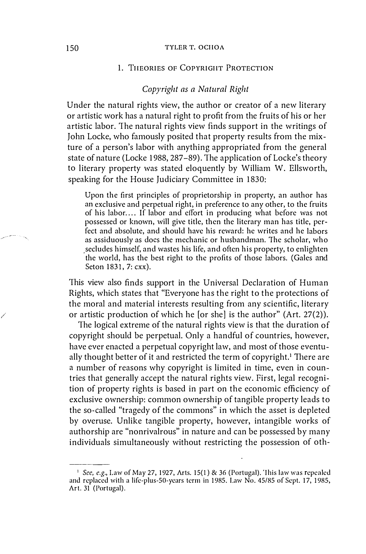#### 150 TYLER T. OCHOA

# 1. THEORIES OF COPYRIGHT PROTECTION

# Copyright as a Natural Right

Under the natural rights view, the author or creator of a new literary or artistic work has a natural right to profit from the fruits of his or her artistic labor. The natural rights view finds support in the writings of John Locke, who famously posited that property results from the mixture of a person's labor with anything appropriated from the general state of nature (Locke 1988, 287-89). The application of Locke's theory to literary property was stated eloquently by William W. Ellsworth, speaking for the House Judiciary Committee in 1830:

Upon the first principles of proprietorship in property, an author has an exclusive and perpetual right, in preference to any other, to the fruits of his labor .... If labor and effort in producing what before was not possessed or known, will give title, then the literary man has title, perfect and absolute, and should have his reward: he writes and he labors as assiduously as docs the mechanic or husbandman. The scholar, who .secludes himself, and wastes his life, and often his property, to enlighten the world, has the best right to the profits of those labors. (Gales and Seton 1831, 7: cxx).

This view also finds support in the Universal Declaration of Human Rights, which states that "Everyone has the right to the protections of the moral and material interests resulting from any scientific, literary or artistic production of which he [or she] is the author" (Art. 27(2)).

The logical extreme of the natural rights view is that the duration of copyright should be perpetual. Only a handful of countries, however, have ever enacted a perpetual copyright law, and most of those eventually thought better of it and restricted the term of copyright.<sup>1</sup> There are a number of reasons why copyright is limited in time, even in countries that generally accept the natural rights view. First, legal recognition of property rights is based in part on the economic efficiency of exclusive ownership: common ownership of tangible property leads to the so-called "tragedy of the commons" in which the asset is depleted by overuse. Unlike tangible property, however, intangible works of authorship are "nonrivalrous" in nature and can be possessed by many individuals simultaneously without restricting the possession of oth-

/

<sup>&</sup>lt;sup>1</sup> See, e.g., Law of May 27, 1927, Arts. 15(1) & 36 (Portugal). This law was repealed and replaced with a life-plus-50-years term in 1985. Law No.  $45/85$  of Sept. 17, 1985, Art. 31 (Portugal).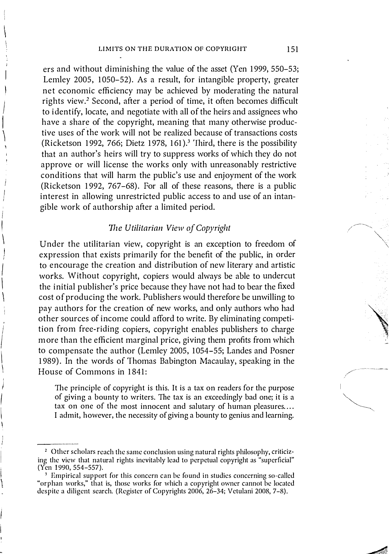ers and without diminishing the value of the asset (Yen 1999, 550-53; Lemley 2005, 1050-52). As a result, for intangible property, greater net economic efficiency may be achieved by moderating the natural rights view.<sup>2</sup> Second, after a period of time, it often becomes difficult to identify, locate, and negotiate with all of the heirs and assignees who have a share of the copyright, meaning that many otherwise productive uses of the work will not be realized because of transactions costs (Ricketson 1992, 766; Dietz 1978, 161).<sup>3</sup> 'Third, there is the possibility that an author's heirs will try to suppress works of which they do not approve or will license the works only with unreasonably restrictive conditions that will harm the public's use and enjoyment of the work (Ricketson 1992, 767-68). For all of these reasons, there is a public interest in allowing unrestricted public access to and use of an intangible work of authorship after a limited period.

J  $\vert$  $\setminus$ 

I

 $\mathbf{I}$  $\setminus$ 

I  $\vert$ \

 $\overline{\phantom{a}}$ 

 $\vert$ \

I  $\overline{\phantom{a}}$  $\vert$ \

i i I

# The Utilitarian View of Copyright

Under the utilitarian view, copyright is an exception to freedom of expression that exists primarily for the benefit of the public, in order to encourage the creation and distribution of new literary and artistic works. Without copyright, copiers would always be able to undercut the initial publisher's price because they have not had to bear the fixed cost of producing the work. Publishers would therefore be unwilling to pay authors for the creation of new works, and only authors who had other sources of income could afford to write. By eliminating competition from free-riding copiers, copyright enables publishers to charge <sup>m</sup> ore than the efficient marginal price, giving them profits from which to compensate the author (Lemley 2005, 1054-55; Landes and Posner 1989). In the words of Thomas Babington Macaulay, speaking in the House of Commons in 1841:

The principle of copyright is this. It is a tax on readers for the purpose of giving a bounty to writers. The tax is an exceedingly bad one; it is a tax on one of the most innocent and salutary of human pleasures .... I admit, however, the necessity of giving a bounty to genius and learning.

\\... \

� . ,

.------�----.-

//--

<sup>&</sup>lt;sup>2</sup> Other scholars reach the same conclusion using natural rights philosophy, criticizing the view that natural rights inevitably lead to perpetual copyright as "superficial" (Yen 1990, 554-557).

<sup>&</sup>lt;sup>3</sup> Empirical support for this concern can be found in studies concerning so-called "orphan works," that is, those works for which a copyright owner cannot be located despite a diligent search. (Register of Copyrights 2006, 26-34; Vetulani 2008, 7-8).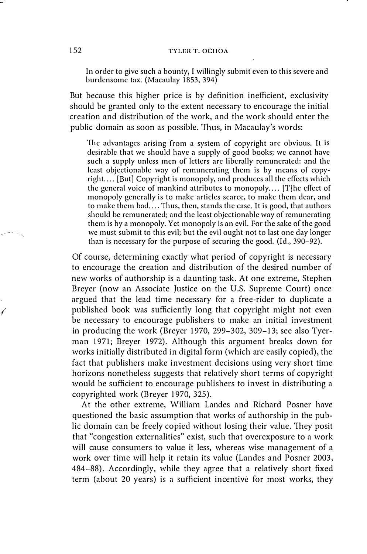## 152 TYLER T. OCHOA

In order to give such a bounty, I willingly submit even to this severe and burdensome tax. (Macaulay 1853, 394)

But because this higher price is by definition inefficient, exclusivity should be granted only to the extent necessary to encourage the initial creation and distribution of the work, and the work should enter the public domain as soon as possible. Thus, in Macaulay's words:

The advantages arising from a system of copyright are obvious. It is desirable that we should have a supply of good books; we cannot have such a supply unless men of letters are liberally remunerated: and the least objectionable way of remunerating them is by means of copyright. . .. [But] Copyright is monopoly, and produces all the effects which the general voice of mankind attributes to monopoly .... [T]he effect of monopoly generally is to make articles scarce, to make them dear, and to make them bad.... Thus, then, stands the case. It is good, that authors should be remunerated; and the least objectionable way of remunerating them is by a monopoly. Yet monopoly is an evil. for the sake of the good we must submit to this evil; but the evil ought not to last one day longer than is necessary for the purpose of securing the good. (Id., 390-92).

Of course, determining exactly what period of copyright is necessary to encourage the creation and distribution of the desired number of new works of authorship is a daunting task. At one extreme, Stephen Breyer (now an Associate Justice on the U.S. Supreme Court) once argued that the lead time necessary for a free-rider to duplicate a published book was sufficiently long that copyright might not even be necessary to encourage publishers to make an initial investment in producing the work (Breyer 1970, 299-302, 309-13; see also Tyerman 1971; Breyer 1972). Although this argument breaks down for works initially distributed in digital form (which are easily copied), the fact that publishers make investment decisions using very short time horizons nonetheless suggests that relatively short terms of copyright would be sufficient to encourage publishers to invest in distributing a copyrighted work (Breyer 1970, 325).

At the other extreme, William Landes and Richard Posner have questioned the basic assumption that works of authorship in the public domain can be freely copied without losing their value. They posit that "congestion externalities" exist, such that overexposure to a work will cause consumers to value it less, whereas wise management of a work over time will help it retain its value (Landes and Posner 2003, 484-88). Accordingly, while they agree that a relatively short fixed term (about 20 years) is a sufficient incentive for most works, they

 $\sqrt{2}$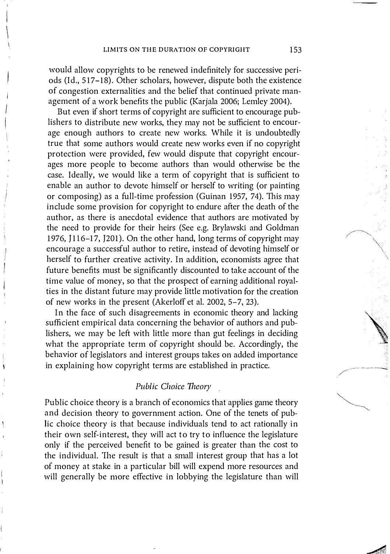would allow copyrights to be renewed indefinitely for successive periods (Id., 5 17-18). Other scholars, however, dispute both the existence of congestion externalities and the belief that continued private management of a work benefits the public (Karjala 2006; Lemley 2004).

I  $\overline{\phantom{a}}$ 

I

But even if short terms of copyright are sufficient to encourage publishers to distribute new works, they may not be sufficient to encourage enough authors to create new works. While it is undoubtedly true that some authors would create new works even if no copyright protection were provided, few would dispute that copyright encourages more people to become authors than would otherwise be the case. Ideally, we would like a term of copyright that is sufficient to enable an author to devote himself or herself to writing (or painting or composing) as a full-time profession (Guinan 1957, 74). This may include some provision for copyright to endure after the death of the author, as there is anecdotal evidence that authors are motivated by the need to provide for their heirs (See e.g. Brylawski and Goldman 1976, J 1l6-17, J201). On the other hand, long terms of copyright may encourage a successful author to retire, instead of devoting himself or herself to further creative activity. In addition, economists agree that future benefits must be significantly discounted to take account of the time value of money, so that the prospect of earning additional royalties in the distant future may provide little motivation for the creation of new works in the present (Akerloff et al. 2002, 5-7, 23).

In the face of such disagreements in economic theory and lacking sufficient empirical data concerning the behavior of authors and publishers, we may be left with little more than gut feelings in deciding what the appropriate term of copyright should be. Accordingly, the behavior of legislators and interest groups takes on added importance in explaining how copyright terms are established in practice.

## Public Choice Theory

Public choice theory is a branch of economics that applies game theory and decision theory to government action. One of the tenets of public choice theory is that because individuals tend to act rationally in their own self-interest, they will act to try to influence the legislature only if the perceived benefit to be gained is greater than the cost to the individual. The result is that a small interest group that has a lot of money at stake in a particular bill will expend more resources and will generally be more effective in lobbying the legislature than will "\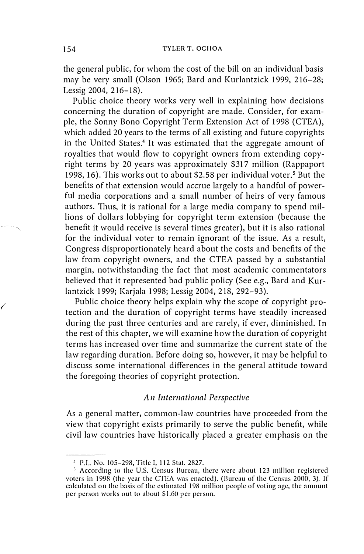the general public, for whom the cost of the bill on an individual basis may be very small (Olson 1965; Bard and Kurlantzick 1999, 216-28; Lessig 2004, 216-18).

Public choice theory works very well in explaining how decisions concerning the duration of copyright are made. Consider, for example, the Sonny Bono Copyright Term Extension Act of 1998 (CTEA), which added 20 years to the terms of all existing and future copyrights in the United States.4 It was estimated that the aggregate amount of royalties that would flow to copyright owners from extending copyright terms by 20 years was approximately \$317 million (Rappaport 1998, 16). This works out to about \$2.58 per individual voter.<sup>5</sup> But the benefits of that extension would accrue largely to a handful of powerful media corporations and a small number of heirs of very famous authors. Thus, it is rational for a large media company to spend millions of dollars lobbying for copyright term extension (because the benefit it would receive is several times greater), but it is also rational for the individual voter to remain ignorant of the issue. As a result, Congress disproportionately heard about the costs and benefits of the law from copyright owners, and the CTEA passed by a substantial margin, notwithstanding the fact that most academic commentators believed that it represented bad public policy (See e.g., Bard and Kurlantzick 1999; Karjala 1998; Lessig 2004, 2 18, 292-93).

Public choice theory helps explain why the scope of copyright protection and the duration of copyright terms have steadily increased during the past three centuries and are rarely, if ever, diminished. In the rest of this chapter, we will examine how the duration of copyright terms has increased over time and summarize the current state of the law regarding duration. Before doing so, however, it may be helpful to discuss some international differences in the general attitude toward the foregoing theories of copyright protection.

## An International Perspective

As a general matter, common-law countries have proceeded from the view that copyright exists primarily to serve the public benefit, while civil law countries have historically placed a greater emphasis on the

 $\sqrt{2}$ 

<sup>&</sup>lt;sup>4</sup> P.L. No. 105-298, Title I, 112 Stat. 2827.

<sup>&</sup>lt;sup>5</sup> According to the U.S. Census Bureau, there were about 123 million registered voters in 1998 (the year the CTEA was enacted). (Bureau of the Census 2000, 3). If calculated on the basis of the estimated 1 98 million people of voting age, the amount per person works out to about \$1.60 per person.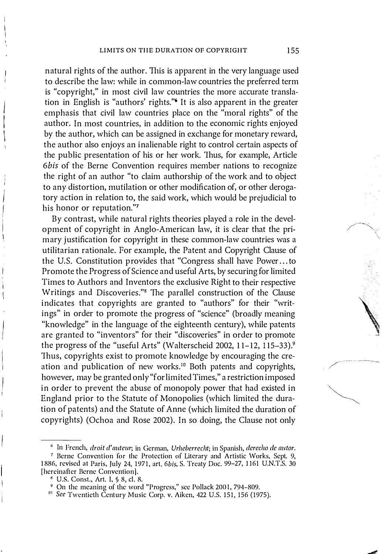natural rights of the author. This is apparent in the very language used to describe the law: while in common-law countries the preferred term is "copyright," in most civil law countries the more accurate translation in English is "authors' rights."6 It is also apparent in the greater emphasis that civil law countries place on the "moral rights" of the author. In most countries, in addition to the economic rights enjoyed by the author, which can be assigned in exchange for monetary reward, the author also enjoys an inalienable right to control certain aspects of the public presentation of his or her work. Thus, for example, Article 6bis of the Berne Convention requires member nations to recognize the right of an author "to claim authorship of the work and to object to any distortion, mutilation or other modification of, or other derogatory action in relation to, the said work, which would be prejudicial to his honor or reputation."?

By contrast, while natural rights theories played a role in the development of copyright in Anglo-American law, it is clear that the primary justification for copyright in these common-law countries was a utilitarian rationale. For example, the Patent and Copyright Clause of the U.S. Constitution provides that "Congress shall have Power ... to Promote the Progress of Science and useful Arts, by securing for limited Times to Authors and Inventors the exclusive Right to their respective Writings and Discoveries."8 The parallel construction of the Clause indicates that copyrights are granted to "authors" for their "writings" in order to promote the progress of "science" (broadly meaning "knowledge" in the language of the eighteenth century), while patents are granted to "inventors" for their "discoveries" in order to promote the progress of the "useful Arts" (Walterscheid 2002, 11-12, 115-33).<sup>9</sup> Thus, copyrights exist to promote knowledge by encouraging the creation and publication of new works.<sup>10</sup> Both patents and copyrights, however, may be granted only "for limited Times," a restriction imposed in order to prevent the abuse of monopoly power that had existed in England prior to the Statute of Monopolies (which limited the duration of patents) and the Statute of Anne (which limited the duration of copyrights) (Ochoa and Rose 2002). In so doing, the Clause not only

\

 $6$  In French, droit d'auteur; in German, Urheberrecht; in Spanish, derecho de autor.

<sup>7</sup> Berne Convention for the Protection of Literary and Artistic Works, Sept. 9, <sup>1</sup> 886, revised at Paris, July 24, 1971, art. 6bis, S. Trcaty Doc. 99-27, 1 161 U.N.T.S. 30 [hereinafter Berne Convention).

H U.S. Const., Art. I, § 8, d. 8.

<sup>&</sup>lt;sup>9</sup> On the meaning of the word "Progress," see Pollack 2001, 794-809.

<sup>&</sup>lt;sup>10</sup> See Twentieth Century Music Corp. v. Aiken, 422 U.S. 151, 156 (1975).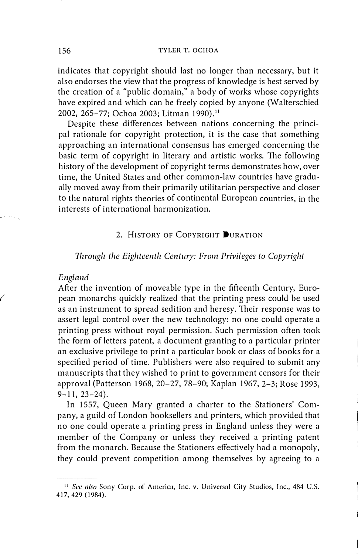indicates that copyright should last no longer than necessary, but it also endorses the view that the progress of knowledge is best served by the creation of a "public domain," a body of works whose copyrights have expired and which can be freely copied by anyone (Walterschied 2002, 265-77; Ochoa 2003; Litman 1990).<sup>11</sup>

Despite these differences between nations concerning the principal rationale for copyright protection, it is the case that something approaching an international consensus has emerged concerning the basic term of copyright in literary and artistic works. The following history of the development of copyright terms demonstrates how, over time, the United States and other common-law countries have gradually moved away from their primarily utilitarian perspective and closer to the natural rights theories of continental European countries, in the interests of international harmonization.

# 2. HISTORY OF COPYRIGHT DURATION

## Through the Eighteenth Century: From Privileges to Copyright

## England

 $\left( \right.$ 

After the invention of moveable type in the fifteenth Century, European monarchs quickly realized that the printing press could be used as an instrument to spread sedition and heresy. Their response was to assert legal control over the new technology: no one could operate a printing press without royal permission. Such permission often took the form of letters patent, a document granting to a particular printer an exclusive privilege to print a particular book or class of books for a specified period of time. Publishers were also required to submit any manuscripts that they wished to print to government censors for their approval (Patterson 1968, 20-27, 78-90; Kaplan 1967, 2-3; Rose 1993,  $9 - 11$ ,  $23 - 24$ ).

In 1557, Queen Mary granted a charter to the Stationers' Company, a guild of London booksellers and printers, which provided that no one could operate a printing press in England unless they were a member of the Company or unless they received a printing patent from the monarch. Because the Stationers effectively had a monopoly, they could prevent competition among themselves by agreeing to a

<sup>&</sup>lt;sup>11</sup> See also Sony Corp. of America, Inc. v. Universal City Studios, Inc., 484 U.S. 417, 429 (19B4).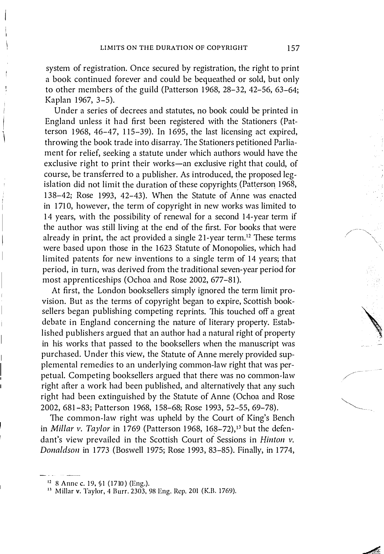system of registration. Once secured by registration, the right to print a book continued forever and could be bequeathed or sold, but only to other members of the guild (Patterson 1968, 28-32, 42-56, 63-64; Kaplan 1967, 3-5).

Under a series of decrees and statutes, no book could be printed in England unless it had first been registered with the Stationers (Patterson 1968, 46-47, 115-39). In 1695, the last licensing act expired, throwing the book trade into disarray. The Stationers petitioned Parliament for relief, seeking a statute under which authors would have the exclusive right to print their works-an exclusive right that could, of course, be transferred to a publisher. As introduced, the proposed legislation did not limit the duration of these copyrights (Patterson 1968, 138-42; Rose 1993, 42-43). When the Statute of Anne was enacted in 1710, however, the term of copyright in new works was limited to 14 years, with the possibility of renewal for a second 14-year term if the author was still living at the end of the first. For books that were already in print, the act provided a single  $21$ -year term.<sup>12</sup> These terms were based upon those in the 1623 Statute of Monopolies, which had limited patents for new inventions to a single term of 14 years; that period, in turn, was derived from the traditional seven-year period for most apprenticeships (Ochoa and Rose 2002, 677-81).

At first, the London booksellers simply ignored the term limit provision. But as the terms of copyright began to expire, Scottish booksellers began publishing competing reprints. This touched off a great debate in England concerning the nature of literary property. Established publishers argued that an author had a natural right of property in his works that passed to the booksellers when the manuscript was purchased. Under this view, the Statute of Anne merely provided supplemental remedies to an underlying common-law right that was perpetual. Competing booksellers argued that there was no common-law right after a work had been published, and alternatively that any such right had been extinguished by the Statute of Anne (Ochoa and Rose 2002, 681-83; Patterson 1968, 158-68; Rose 1993, 52-55, 69-78).

The common-law right was upheld by the Court of King's Bench in Millar v. Taylor in 1769 (Patterson 1968, 168-72),<sup>13</sup> but the defendant's view prevailed in the Scottish Court of Sessions in Hinton v. Donaldson in 1773 (Boswell 1975; Rose 1993, 83-85). Finally, in 1774,  $\diagdown$ 

<sup>&</sup>lt;sup>12</sup> 8 Anne c. 19, §1 (1710) (Eng.).

<sup>&</sup>lt;sup>13</sup> Millar v. Taylor, 4 Burr. 2303, 98 Eng. Rep. 201 (K.B. 1769).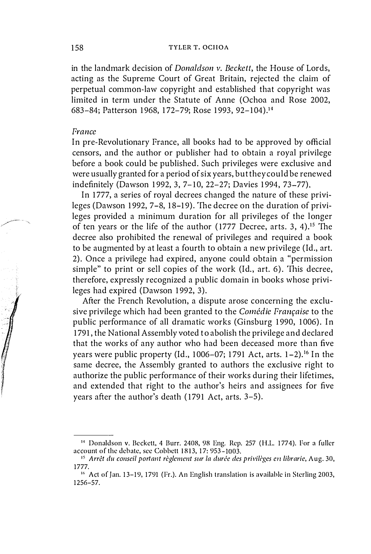in the landmark decision of Donaldson v. Beckett, the House of Lords, acting as the Supreme Court of Great Britain, rejected the claim of perpetual common-law copyright and established that copyright was limited in term under the Statute of Anne (Ochoa and Rose 2002, 683-84; Patterson 1968, 172-79; Rose 1993, 92-104).14

#### France

In pre-Revolutionary France, all books had to be approved by official censors, and the author or publisher had to obtain a royal privilege before a book could he published. Such privileges were exclusive and were usually granted for a period of six years, but they could be renewed indefinitely (Dawson 1992, 3, 7-10, 22-27; Davies 1994, 73-77).

In 1777, a series of royal decrees changed the nature of these privileges (Dawson 1992, 7-8, 18-19). The decree on the duration of privileges provided a minimum duration for all privileges of the longer of ten years or the life of the author (1777 Decree, arts. 3, 4).<sup>15</sup> The decree also prohibited the renewal of privileges and required a book to be augmented by at least a fourth to obtain a new privilege (Id., art. 2). Once a privilege had expired, anyone could obtain a "permission simple" to print or sell copies of the work (Id., art. 6). This decree, therefore, expressly recognized a public domain in books whose privileges had expired (Dawson 1992, 3).

After the French Revolution, a dispute arose concerning the exclusive privilege which had been granted to the Comédie Française to the public performance of all dramatic works (Ginsburg 1990, 1006). In 1791, the National Assembly voted to abolish the privilege and declared that the works of any author who had been deceased more than five years were public property (Id., 1006–07; 1791 Act, arts.  $1-2$ ).<sup>16</sup> In the same decree, the Assembly granted to authors the exclusive right to authorize the public performance of their works during their lifetimes, and extended that right to the author's heirs and assignees for five years after the author's death  $(1791 \text{ Act}, \text{arts. } 3-5)$ .

<sup>&</sup>lt;sup>14</sup> Donaldson v. Beckett, 4 Burr. 2408, 98 Eng. Rep. 257 (H.L. 1774). For a fuller account of the debate, see Cobbett 1813, 17: 953-1003.

 $15$  Arrêt du conseil portant règlement sur la durée des privilèges en librarie, Aug. 30, 1777.

 $16$  Act of Jan. 13-19, 1791 (Fr.). An English translation is available in Sterling 2003, 1 256-57.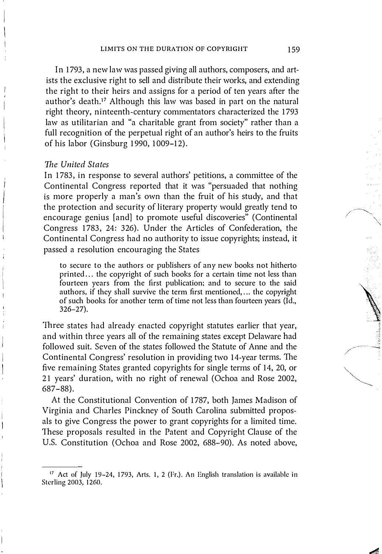In 1793, a new law was passed giving all authors, composers, and artists the exclusive right to sell and distribute their works, and extending the right to their heirs and assigns for a period of ten years after the author's death.17 Although this law was based in part on the natural right theory, ninteenth-century commentators characterized the 1793 law as utilitarian and "a charitable grant from society" rather than a full recognition of the perpetual right of an author's heirs to the fruits of his labor (Ginsburg 1990, 1009-12).

## The United States

In 1783, in response to several authors' petitions, a committee of the Continental Congress reported that it was "persuaded that nothing is more properly a man's own than the fruit of his study, and that the protection and security of literary property would greatly tend to encourage genius [and] to promote useful discoveries" (Continental Congress 1783, 24: 326). Under the Articles of Confederation, the Continental Congress had no authority to issue copyrights; instead, it passed a resolution encouraging the States

to secure to the authors or publishers of any new books not hitherto printed ... the copyright of such books for a certain time not less than fourteen years from the first publication; and to secure to the said authors, if they shall survive the term first mentioned, ... the copyright of such books for another term of time not less than fourteen years (Id., 326-27).

Three states had already enacted copyright statutes earlier that year, and within three years all of the remaining states except Delaware had followed suit. Seven of the states followed the Statute of Anne and the Continental Congress' resolution in providing two 14-year terms. The five remaining States granted copyrights for single terms of 14, 20, or 21 years' duration, with no right of renewal (Ochoa and Rose 2002, 687-88).

At the Constitutional Convention of 1787, both James Madison of Virginia and Charles Pinckney of South Carolina submitted proposals to give Congress the power to grant copyrights for a limited time. These proposals resulted in the Patent and Copyright Clause of the U.S. Constitution (Ochoa and Rose 2002, 688-90). As noted above,

 $17$  Act of July 19-24, 1793, Arts. 1, 2 (Fr.). An English translation is available in Sterling 2003, 1260.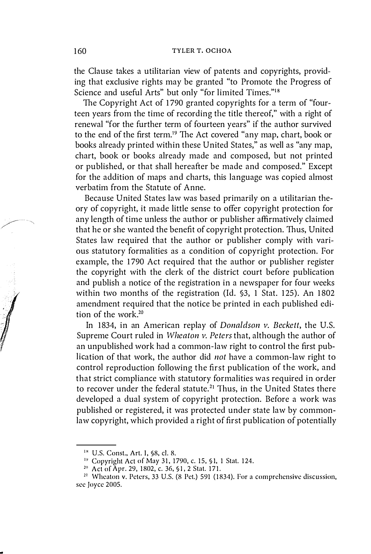the Clause takes a utilitarian view of patents and copyrights, providing that exclusive rights may be granted "to Promote the Progress of Science and useful Arts" but only "for limited Times."<sup>18</sup>

The Copyright Act of 1790 granted copyrights for a term of "fourteen years from the time of recording the title thereof," with a right of renewal "for the further term of fourteen years" if the author survived to the end of the first term.19 The Act covered "any map, chart, book or books already printed within these United States," as well as "any map, chart, book or books already made and composed, but not printed or published, or that shall hereafter be made and composed." Except for the addition of maps and charts, this language was copied almost verbatim from the Statute of Anne.

Because United States law was based primarily on a utilitarian theory of copyright, it made little sense to offer copyright protection for any length of time unless the author or publisher affirmatively claimed that he or she wanted the benefit of copyright protection. Thus, United States law required that the author or publisher comply with various statutory formalities as a condition of copyright protection. For example, the 1790 Act required that the author or publisher register the copyright with the clerk of the district court before publication and publish a notice of the registration in a newspaper for four weeks within two months of the registration (Id. §3, 1 Stat. 125). An 1802 amendment required that the notice be printed in each published edition of the work.<sup>20</sup>

In 1834, in an American replay of Donaldson v. Beckett, the U.S. Supreme Court ruled in Wheaton v. Peters that, although the author of an unpublished work had a common-law right to control the first publication of that work, the author did not have a common-law right to control reproduction following the first publication of the work, and that strict compliance with statutory formalities was required in order to recover under the federal statute.<sup>21</sup> Thus, in the United States there developed a dual system of copyright protection. Before a work was published or registered, it was protected under state law by commonlaw copyright, which provided a right of first publication of potentially

<sup>&</sup>lt;sup>18</sup> U.S. Const., Art. I, §8, cl. 8.

<sup>&</sup>lt;sup>19</sup> Copyright Act of May 31, 1790, c. 15, §1, 1 Stat. 124.

<sup>2</sup> <sup>0</sup>Act of Apr. 29,1 802, c. 36, §l, 2 Stat. 171.

 $21$  Wheaton v. Peters, 33 U.S. (8 Pet.) 591 (1834). For a comprehensive discussion, see Joyce 2005.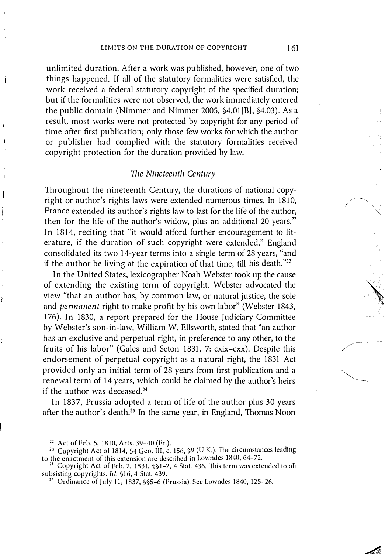unlimited duration. After a work was published, however, one of two things happened. If all of the statutory formalities were satisfied, the work received a federal statutory copyright of the specified duration; but if the formalities were not observed, the work immediately entered the public domain (Nimmer and Nimmer 2005, §4.01 [BJ, §4.03). As a result, most works were not protected by copyright for any period of time after first publication; only those few works for which the author or publisher had complied with the statutory formalities received copyright protection for the duration provided by law.

## 7he Nineteenth Century

Throughout the nineteenth Century, the durations of national copyright or author's rights laws were extended numerous times. In 1810, France extended its author's rights law to last for the life of the author, then for the life of the author's widow, plus an additional 20 years. $22$ In 1814, reciting that "it would afford further encouragement to literature, if the duration of such copyright were extended," England consolidated its two 14-year terms into a single term of 28 years, "and if the author be living at the expiration of that time, till his death." $2<sup>3</sup>$ 

In the United States, lexicographer Noah Webster took up the cause of extending the existing term of copyright. Webster advocated the view "that an author has, by common law, or natural justice, the sole and *permanent* right to make profit by his own labor" (Webster 1843, 176). In 1830, a report prepared for the House Judiciary Committee by Webster's son-in-law, William W. Ellsworth, stated that "an author has an exclusive and perpetual right, in preference to any other, to the fruits of his labor" (Gales and Seton 1831, 7: cxix-cxx). Despite this endorsement of perpetual copyright as a natural right, the 1831 Act provided only an initial term of 28 years from first publication and a renewal term of 14 years, which could be claimed by the author's heirs if the author was deceased.<sup>24</sup>

In 1837, Prussia adopted a term of life of the author plus 30 years after the author's death.25 In the same year, in England, Thomas Noon

<sup>&</sup>lt;sup>22</sup> Act of Feb. 5, 1810, Arts. 39-40 (Fr.).

<sup>&</sup>lt;sup>23</sup> Copyright Act of 1814, 54 Geo. III, c. 156, 99 (U.K.). The circumstances leading to the enactment of this extension are described in Lowndes 1840, 64-72.

<sup>&</sup>lt;sup>21</sup> Copyright Act of Feb. 2, 1831, §§1–2, 4 Stat. 436. This term was extended to all subsisting copyrights. Id. §16, 4 Stat. 439.

<sup>&</sup>lt;sup>25</sup> Ordinance of July 11, 1837,  $\S$ §5-6 (Prussia). See Lowndes 1840, 125-26.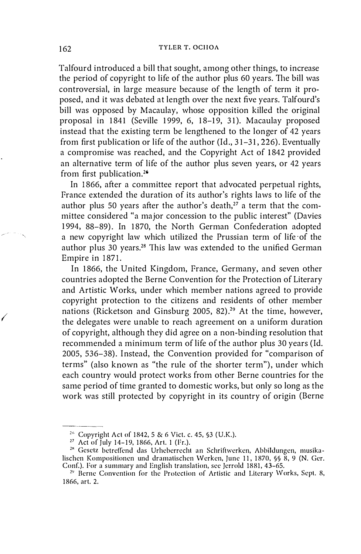Talfourd introduced a bill that sought, among other things, to increase the period of copyright to life of the author plus 60 years. The bill was controversial, in large measure because of the length of term it proposed, and it was debated at length over the next five years. Talfourd's bill was opposed by Macaulay, whose opposition killed the original proposal in 1841 (Seville 1999, 6, 18-19, 31). Macaulay proposed instead that the existing term be lengthened to the longer of 42 years from first publication or life of the author (Id., 3 1-31, 226). Eventually a compromise was reached, and the Copyright Act of 1842 provided an alternative term of life of the author plus seven years, or 42 years from first publication.26

In 1866, after a committee report that advocated perpetual rights, Prance extended the duration of its author's rights laws to life of the author plus 50 years after the author's death, $27$  a term that the committee considered "a major concession to the public interest" (Davies 1994, 88-89). In 1870, the North German Confederation adopted a new copyright law which utilized the Prussian term of life of the author plus 30 years.28 This law was extended to the unified German Empire in 1871.

In 1866, the United Kingdom, Prance, Germany, and seven other countries adopted the Berne Convention for the Protection of Literary and Artistic Works, under which member nations agreed to provide copyright protection to the citizens and residents of other member nations (Ricketson and Ginsburg 2005, 82).<sup>29</sup> At the time, however, the delegates were unable to reach agreement on a uniform duration of copyright, although they did agree on a non-binding resolution that recommended a minimum term of life of the author plus 30 years (Id. 2005, 536-38). Instead, the Convention provided for "comparison of terms" (also known as "the rule of the shorter term"), under which each country would protect works from other Berne countries for the same period of time granted to domestic works, but only so long as the work was still protected by copyright in its country of origin (Berne

 $\sqrt{2}$ 

<sup>&</sup>lt;sup>26</sup> Copyright Act of 1842, 5 & 6 Vict. c. 45, §3 (U.K.).

 $^{27}$  Act of July 14–19, 1866, Art. 1 (Fr.).

<sup>&</sup>lt;sup>28</sup> Gesetz betreffend das Urheberrecht an Schriftwerken, Abbildungen, musikalischcn Kompositioncn und dramatischcn \Vcrkcn, Junc 11, 1 870, §§ 8, 9 (N. Gcr. Conf.). For a summary and English translation, see Jerrold 1881, 43-65.

<sup>&</sup>lt;sup>29</sup> Berne Convention for the Protection of Artistic and Literary Works, Sept. 8, 1866, art. 2.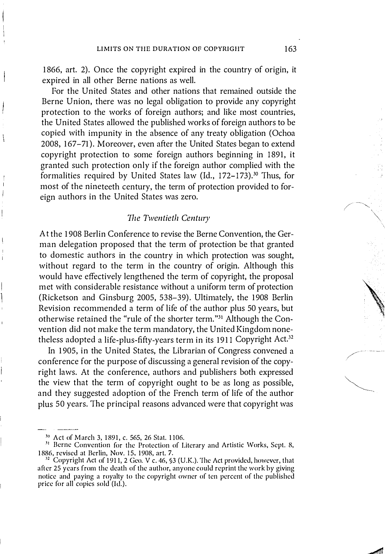1866, art. 2). Once the copyright expired in the country of origin, it expired in all other Berne nations as well.

For the United States and other nations that remained outside the Berne Union, there was no legal obligation to provide any copyright protection to the works of foreign authors; and like most countries, the United States allowed the published works of foreign authors to be copied with impunity in the absence of any treaty obligation (Ochoa 2008, 167-71). Moreover, even after the United States began to extend copyright protection to some foreign authors beginning in 1891, it granted such protection only if the foreign author complied with the formalities required by United States law (Id., 172-173).<sup>30</sup> Thus, for most of the nineteeth century, the term of protection provided to foreign authors in the United States was zero.

## 7he Twentieth Century

At the 1908 Berlin Conference to revise the Berne Convention, the German delegation proposed that the term of protection be that granted to domestic authors in the country in which protection was sought, without regard to the term in the country of origin. Although this would have effectively lengthened the term of copyright, the proposal met with considerable resistance without a uniform term of protection (Ricketson and Ginsburg 2005, 538-39). Ultimately, the 1908 Berlin Revision recommended a term of life of the author plus 50 years, but otherwise retained the "rule of the shorter term."3l Although the Convention did not make the term mandatory, the United Kingdom nonetheless adopted a life-plus-fifty-years term in its 1911 Copyright Act.<sup>32</sup>

In 1905, in the United States, the Librarian of Congress convened a conference for the purpose of discussing a general revision of the copyright laws. At the conference, authors and publishers both expressed the view that the term of copyright ought to be as long as possible, and they suggested adoption of the French term of life of the author plus 50 years. The principal reasons advanced were that copyright was

<sup>&</sup>lt;sup>30</sup> Act of March 3, 1891, c. 565, 26 Stat. 1106.

<sup>&</sup>lt;sup>31</sup> Berne Convention for the Protection of Literary and Artistic Works, Sept. 8, 1 886, revised at Berlin, Nov. IS, 1 908, art. 7.

 $32$  Copyright Act of 1911, 2 Geo. V c. 46, §3 (U.K.). The Act provided, however, that after 25 years from the death of the author, anyone could reprint the work by giving notice and paying a royalty to the copyright owner of ten percent of the publishcd price for all copies sold (Id.).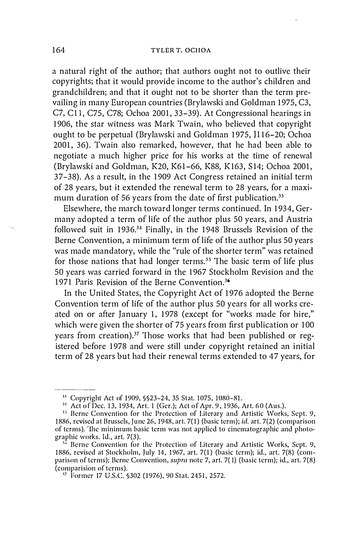a natural right of the author; that authors ought not to outlive their copyrights; that it would provide income to the author's children and grandchildren; and that it ought not to be shorter than the term prevailing in many European countries (Brylawski and Goldman 1975, C3, C7, Cll, C75, C78; Ochoa 2001, 33-39). At Congressional hearings in 1906, the star witness was Mark Twain, who believed that copyright ought to be perpetual (Brylawski and Goldman 1975, JI 16-20; Ochoa 2001, 36). Twain also remarked, however, that he had been able to negotiate a much higher price for his works at the time of renewal (Brylawski and Goldman, K20, K61-66, K88, K 163, S 14; Ochoa 2001, 37-38). As a result, in the 1909 Act Congress retained an initial term of 28 years, but it extended the renewal term to 28 years, for a maximum duration of 56 years from the date of first publication.<sup>33</sup>

Elsewhere, the march toward longer terms continued. In 1934, Germany adopted a term of life of the author plus 50 years, and Austria followed suit in 1936.34 Finally, in the 1948 Brussels Revision of the Berne Convention, a minimum term of life of the author plus 50 years was made mandatory, while the "rule of the shorter term" was retained for those nations that had longer terms.<sup>35</sup> The basic term of life plus 50 years was carried forward in the 1967 Stockholm Revision and the 1971 Paris Revision of the Berne Convention.<sup>36</sup>

In the United States, the Copyright Act of 1976 adopted the Berne Convention term of life of the author plus 50 years for all works created on or after January 1, 1978 (except for "works made for hire," which were given the shorter of 75 years from first publication or 100 years from creation).<sup>37</sup> Those works that had been published or registered before 1978 and were still under copyright retained an initial term of 28 years but had their renewal terms extended to 47 years, for

<sup>&</sup>lt;sup>33</sup> Copyright Act of 1909, §§23-24, 35 Stat. 1075, 1080-81.

<sup>&</sup>lt;sup>31</sup> Act of Dec. 13, 1934, Art. 1 (Ger.); Act of Apr. 9, 1936, Art. 60 (Aus.).

<sup>&</sup>lt;sup>35</sup> Berne Convention for the Protection of Literary and Artistic Works, Sept. 9, 1886, revised at Brussels, June 26, 1948, art. 7(1) (basic term); id. art. 7(2) (comparison of terms). 'lhe minimum basic term was not applied to cincmatographic and photographic works. Id., art. 7(3).

 $36$  Berne Convention for the Protection of Literary and Artistic Works, Sept. 9, 1886, revised at Stockholm, July 14, 1967, art. 7(1) (basic term); id., art. 7(8) (comparison of terms); Berne Convention, *supra* note 7, art. 7(1) (basic term); id., art. 7(8) (comparision of tcrms).

<sup>&</sup>lt;sup>37</sup> Former 17 U.S.C. §302 (1976), 90 Stat. 2451, 2572.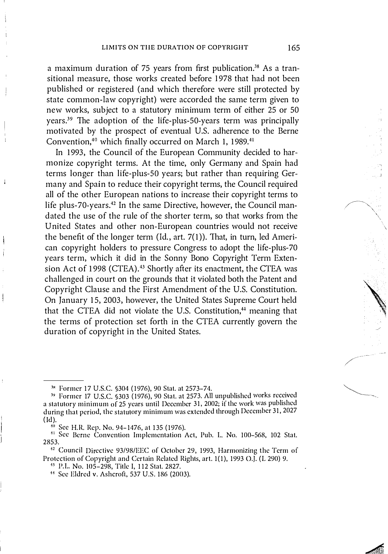a maximum duration of 75 years from first publication.<sup>38</sup> As a transitional measure, those works created before 1978 that had not been published or registered (and which therefore were still protected by state common-law copyright) were accorded the same term given to new works, subject to a statutory minimum term of either 25 or 50 years.39 The adoption of the life-plus-50-years term was principally motivated by the prospect of eventual U.S. adherence to the Berne Convention,<sup>40</sup> which finally occurred on March 1, 1989.<sup>41</sup>

In 1993, the Council of the European Community decided to harmonize copyright terms. At the time, only Germany and Spain had terms longer than life-plus-SO years; but rather than requiring Germany and Spain to reduce their copyright terms, the Council required all of the other European nations to increase their copyright terms to life plus-70-years.<sup>42</sup> In the same Directive, however, the Council mandated the use of the rule of the shorter term, so that works from the United States and other non-European countries would not receive the benefit of the longer term (Id.,  $art. 7(1)$ ). That, in turn, led American copyright holders to pressure Congress to adopt the life-plus-70 years term, which it did in the Sonny Bono Copyright Term Extension Act of 1998 (CTEA).<sup>43</sup> Shortly after its enactment, the CTEA was challenged in court on the grounds that it violated both the Patent and Copyright Clause and the First Amendment of the U.S. Constitution. On January 15, 2003, however, the United States Supreme Court held that the CTEA did not violate the U.S. Constitution,<sup>44</sup> meaning that the terms of protection set forth in the CTEA currently govern the duration of copyright in the United States.

<sup>38</sup> Former 17 U.S.C. §304 (1976), 90 Stat. at 2573-74.

<sup>&</sup>lt;sup>39</sup> Former 17 U.S.C. §303 (1976), 90 Stat. at 2573. All unpublished works received a statutory minimum of 25 years until December 31, 2002; if the work was published during that period, the statutory minimum was extended through December 31, 2027  $(id).$ 

 $10$  See H.R. Rep. No. 94-1476, at 135 (1976).

<sup>&</sup>lt;sup>41</sup> See Berne Convention Implementation Act, Pub. L. No. 100-568, 102 Stat. 2853.

<sup>1</sup> 2 Council Directive 93/98/EEC of October 29, 1993, Harmonizing the Term of Protection of Copyright and Certain Related Rights, art. 1(1), 1993 O.J. (L 290) 9.

<sup>1</sup> 3 P.L. No. 105-298, Title I, 1 1 2 Stat. 2827.

<sup>&</sup>lt;sup>44</sup> See Eldred v. Ashcroft, 537 U.S. 186 (2003).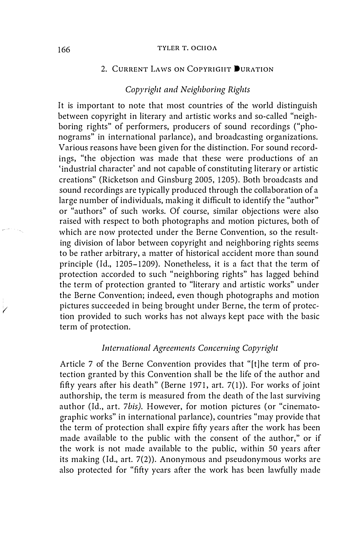#### 166 TYLER T. OCHOA

# 2. CURRENT LAWS ON COPYRIGHT DURATION

## Copyright and Neighboring Rights

It is important to note that most countries of the world distinguish between copyright in literary and artistic works and so-called "neighboring rights" of performers, producers of sound recordings ("phonograms" in international parlance), and broadcasting organizations. Various reasons have been given for the distinction. For sound recordings, "the objection was made that these were productions of an 'industrial character' and not capable of constituting literary or artistic creations" (Ricketson and Ginsburg 2005, 1205). Both broadcasts and sound recordings are typically produced through the collaboration of a large number of individuals, making it difficult to identify the "author" or "authors" of such works. Of course, similar objections were also raised with respect to both photographs and motion pictures, both of which are now protected under the Berne Convention, so the resulting division of labor between copyright and neighboring rights seems to be rather arbitrary, a matter of historical accident more than sound principle (Id., 1205-1209). Nonetheless, it is a fact that the term of protection accorded to such "neighboring rights" has lagged behind the term of protection granted to "literary and artistic works" under the Berne Convention; indeed, even though photographs and motion pictures succeeded in being brought under Berne, the term of protection provided to such works has not always kept pace with the basic term of protection.

## International Agreements Concerning Copyright

Article 7 of the Berne Convention provides that "[t]he term of protection granted by this Convention shall be the life of the author and fifty years after his death" (Berne 1971, art. 7(1)). For works of joint authorship, the term is measured from the death of the last surviving author (Id., art. 7bis). However, for motion pictures (or "cinematographic works" in international parlance), countries "may provide that the term of protection shall expire fifty years after the work has been made available to the public with the consent of the author," or if the work is not made available to the public, within 50 years after its making (Id., art. 7(2)). Anonymous and pseudonymous works are also protected for "fifty years after the work has been lawfully made

(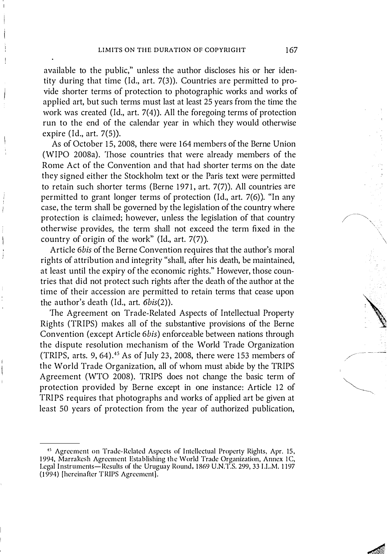available to the public," unless the author discloses his or her identity during that time (Id., art. 7(3)). Countries are permitted to provide shorter terms of protection to photographic works and works of applied art, but such terms must last at least 25 years from the time the work was created (Id., art. 7(4)). All the foregoing terms of protection run to the end of the calendar year in which they would otherwise expire (Id., art. 7(5)).

As of October 15,2008, there were 164 members of the Berne Union (WIPO 2008a). Those countries that were already members of the Rome Act of the Convention and that had shorter terms on the date they signed either the Stockholm text or the Paris text were permitted to retain such shorter terms (Berne 1971, art. 7(7)). All countries are permitted to grant longer terms of protection (Id., art. 7(6)). "In any case, the term shall be governed by the legislation of the country where protection is claimed; however, unless the legislation of that country otherwise provides, the term shall not exceed the term fixed in the country of origin of the work" (Id., art.  $7(7)$ ).

Article 6bis of the Berne Convention requires that the author's moral rights of attribution and integrity "shall, after his death, be maintained, at least until the expiry of the economic rights." However, those countries that did not protect such rights after the death of the author at the time of their accession are permitted to retain terms that cease upon the author's death (Id., art. 6bis(2)).

'The Agreement on Trade-Related Aspects of Intellectual Property Rights (TRIPS) makes all of the substantive provisions of the Berne Convention (except Article 6bis) enforceable between nations through the dispute resolution mechanism of the World Trade Organization (TRIPS, arts.  $9, 64$ ).<sup>45</sup> As of July 23, 2008, there were 153 members of the World Trade Organization, all of whom must abide by the TRIPS Agreement (WTO 2008). TRIPS does not change the basic term of protection provided by Berne except in one instance: Article 12 of TRIPS requires that photographs and works of applied art be given at least 50 years of protection from the year of authorized publication,

\

<sup>&</sup>lt;sup>45</sup> Agreement on Trade-Related Aspects of Intellectual Property Rights, Apr. 15, 1994, Marrakesh Agreement Establishing the World Trade Organization, Annex 1C, Legal Instruments-Results of the Uruguay Round, 1869 U.N.T.S. 299, 33 I.L.M. 1197 (J 994) [hereinafter TRIPS Agreement).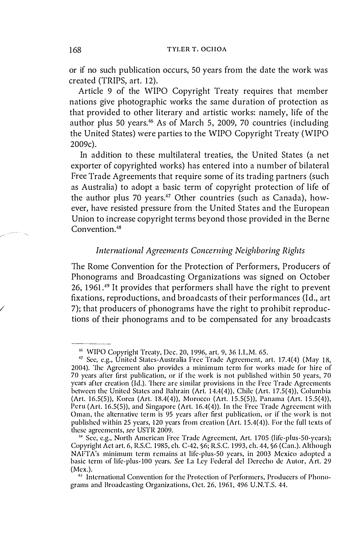or if no such publication occurs, 50 years from the date the work was created (TRIPS, art. 12).

Article 9 of the WIPO Copyright Treaty requires that member nations give photographic works the same duration of protection as that provided to other literary and artistic works: namely, life of the author plus 50 years.<sup>46</sup> As of March 5, 2009, 70 countries (including the United States) were parties to the WIPO Copyright Treaty (WIPO 2009c).

In addition to these multilateral treaties, the United States (a net exporter of copyrighted works) has entered into a number of bilateral Free Trade Agreements that require some of its trading partners (such as Australia) to adopt a basic term of copyright protection of life of the author plus 70 years.<sup>47</sup> Other countries (such as Canada), however, have resisted pressure from the United States and the European Union to increase copyright terms beyond those provided in the Berne Convention.48

# International Agreements Concerning Neighboring Rights

The Rome Convention for the Protection of Performers, Producers of Phonograms and Broadcasting Organizations was signed on October 26, 1961.49 It provides that performers shall have the right to prevent fixations, reproductions, and broadcasts of their performances (Id., art 7); that producers of phonograms have the right to prohibit reproductions of their phonograms and to be compensated for any broadcasts

/

<sup>&</sup>lt;sup>46</sup> WIPO Copyright Treaty, Dec. 20, 1996, art. 9, 36 I.L.M. 65.

<sup>&</sup>lt;sup>47</sup> See, e.g., United States-Australia Free Trade Agreement, art. 17.4(4) (May 18, 2004). The Agreement also provides a minimum term for works made for hire of 70 years after first publication, or if the work is not published within 50 years, 70 years after creation (Id.). 'Ihere arc similar provisions in the Free Trade Agreements between the United States and Bahrain (Art. 14.4(4)), Chile (Art. 17.5(4)), Columbia (Art. 16.5(5)), Korea (Art. 18.4(4)), Morocco (Art. 15.5(5)), Panama (Art. 15.5(4)), Peru (Art. 16.5(5)), and Singapore (Art. 16.4(4)). In the Free Trade Agreement with Oman, the alternative term is 95 years after first publication, or if the work is not published within 25 years, 120 years from creation  $(Art. 15.4(4))$ . For the full texts of these agreements, see USTR 2009.

<sup>&</sup>lt;sup>48</sup> See, e.g., North American Free Trade Agreement, Art. 1705 (life-plus-50-years); Copyright Act art. 6, R.S.C. 1 985, ch. C-42, §6; RS.C. 1 993, ch. 44, §6 (Can.). Although NAFT A's minimum term remains at life-plus-50 years, in 2003 Mexico adopted a basic term of life-plus-100 years. See La Ley Federal del Derecho de Autor, Art. 29 (Mex.).

<sup>,&#</sup>x27;) International Convention for the Protection of Performers, Producers of Phonograms and Broadcasting Organizations, Oct. 26. 1 961. 496 U.N.T.S. 44.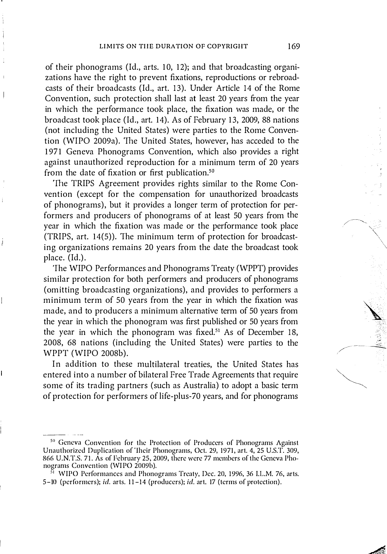of their phonograms (Id., arts. 10, 12); and that broadcasting organizations have the right to prevent fixations, reproductions or rebroadcasts of their broadcasts (Id., art. 13). Under Article 14 of the Rome Convention, such protection shall last at least 20 years from the year in which the performance took place, the fixation was made, or the broadcast took place (Id., art. 14). As of February 13, 2009, 88 nations (not including the United States) were parties to the Rome Convention (WIPO 2009a). The United States, however, has acceded to the 1971 Geneva Phonograms Convention, which also provides a right against unauthorized reproduction for a minimum term of 20 years from the date of fixation or first publication.<sup>50</sup>

'The TRIPS Agreement provides rights similar to the Rome Convention (except for the compensation for unauthorized broadcasts of phonograms), but it provides a longer term of protection for performers and producers of phonograms of at least 50 years from the year in which the fixation was made or the performance took place (TRIPS, art. 14(5)). The minimum term of protection for broadcasting organizations remains 20 years from the date the broadcast took place. (Id.).

'The WIPO Performances and Phonograms Treaty (WPPT) provides similar protection for both performers and producers of phonograms (omitting broadcasting organizations), and provides to performers a minimum term of 50 years from the year in which the fixation was made, and to producers a minimum alternative term of 50 years from the year in which the phonogram was first published or 50 years from the year in which the phonogram was fixed.<sup>51</sup> As of December 18, 2008, 68 nations (including the United States) were parties to the WPPT (WIPO 2008b).

In addition to these multilateral treaties, the United States has entered into a number of bilateral Free Trade Agreements that require some of its trading partners (such as Australia) to adopt a basic term of protection for performers of life-plus-70 years, and for phonograms

<sup>&</sup>lt;sup>50</sup> Geneva Convention for the Protection of Producers of Phonograms Against Unauthorized Duplication of 'lheir Phonograms, Oct. 29, 1971, art. 4, 25 U.S.T. 309, 866 U.N.T.S. 71. As of February 25, 2009, there were 77 members of the Geneva Phonograms Convention (WIPO 2009b).

<sup>&</sup>lt;sup>51</sup> WIPO Performances and Phonograms Treaty, Dec. 20, 1996, 36 I.L.M. 76, arts. 5-10 (performers); id. arts. 11-14 (producers); id. art. 17 (terms of protection).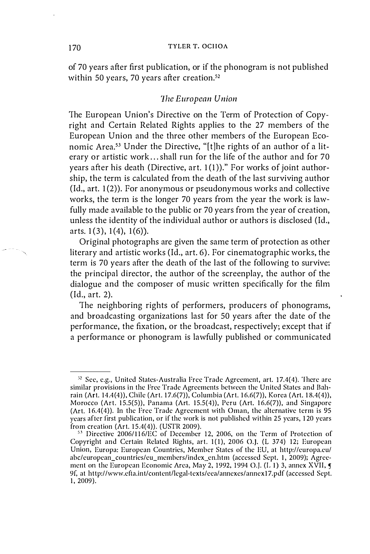#### 170 TYLER T. OCHOA

of 70 years after first publication, or if the phonogram is not published within 50 years, 70 years after creation.<sup>52</sup>

# 1he European Union

The European Union's Directive on the Term of Protection of Copyright and Certain Related Rights applies to the 27 members of the European Union and the three other members of the European Economic Area.53 Under the Directive, "[tlhe rights of an author of a literary or artistic work ... shall run for the life of the author and for 70 years after his death (Directive,  $art. 1(1)$ )." For works of joint authorship, the term is calculated from the death of the last surviving author  $(Id, art. 1(2))$ . For anonymous or pseudonymous works and collective works, the term is the longer 70 years from the year the work is lawfully made available to the public or 70 years from the year of creation, unless the identity of the individual author or authors is disclosed (Id., arts.  $1(3)$ ,  $1(4)$ ,  $1(6)$ ).

Original photographs are given the same term of protection as other literary and artistic works (Id., art. 6). For cinematographic works, the term is 70 years after the death of the last of the following to survive: the principal director, the author of the screenplay, the author of the dialogue and the composer of music written specifically for the film (Id., art. 2).

The neighboring rights of performers, producers of phonograms, and broadcasting organizations last for 50 years after the date of the performance, the fixation, or the broadcast, respectively; except that if a performance or phonogram is lawfully published or communicated

<sup>52</sup> See, e.g., United States-Australia Free Trade Agreement, art. 17.4(4). There are similar provisions in the Free Trade Agreements between the United States and Bahrain (Art. 14.4(4)), Chile (Art. 17.6(7)), Columbia (Art. 16.6(7)), Korea (Art. 18.4(4)), Morocco (Art. 15.5(5)), Panama (Art. 15.5(4)), Peru (Art. 16.6(7)), and Singapore (Art.  $16.4(4)$ ). In the Free Trade Agreement with Oman, the alternative term is 95 years after first publication, or if the work is not published within 25 years, 1 20 years from creation ( $Art. 15.4(4)$ ). (USTR 2009).

<sup>&</sup>lt;sup>53</sup> Directive 2006/116/EC of December 12, 2006, on the Term of Protection of Copyright and Certain Related Rights, art. 1(1), 2006 O.J. (L 374) 12; European Union, Europa: European Countries, Member States of the EU, at http://curopa.cu/ abc/european\_countries/eu\_members/index\_en.htm (accessed Sept. 1, 2009); Agreement on the European Economic Area, May 2, 1992, 1994 O.J. (L 1) 3, annex XVII,  $\epsilon$ 9f, at http://www.cfta.int/content/legal-texts/cea/annexes/annex17.pdf (accessed Sept. 1, 2009).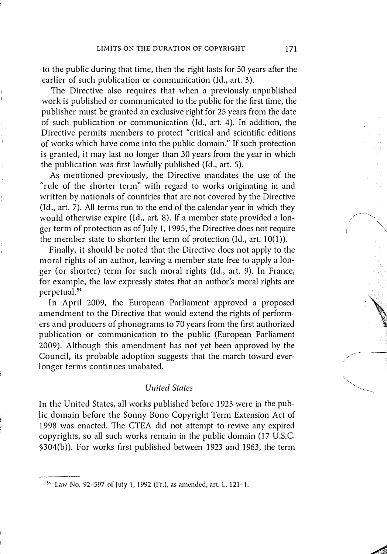to the public during that time, then the right lasts for 50 years after the earlier of such publication or communication (ld., art. 3).

The Directive also requires that when a previously unpublished work is published or communicated to the public for the first time, the publisher must be granted an exclusive right for 25 years from the date of such publication or communication (Id., art. 4). In addition, the Directive permits members to protect "critical and scientific editions of works which have come into the public domain." If such protection is granted, it may last no longer than 30 years from the year in which the publication was first lawfully published (ld., art. 5).

 $\mathbf{I}$ 

As mentioned previously, the Directive mandates the use of the "rule of the shorter term" with regard to works originating in and written by nationals of countries that are not covered by the Directive (ld., art. 7). All terms run to the end of the calendar year in which they would otherwise expire (ld., art. 8). If a member state provided a longer term of protection as of July 1, 1995, the Directive does not require the member state to shorten the term of protection (Id., art.  $10(1)$ ).

Finally, it should be noted that the Directive does not apply to the moral rights of an author, leaving a member state free to apply a longer (or shorter) term for such moral rights (ld., art. 9). In France, for example, the law expressly states that an author's moral rights are perpetual. 54

In April 2009, the European Parliament approved a proposed amendment to the Directive that would extend the rights of performers and producers of phonograms to 70 years from the first authorized publication or communication to the public (European Parliament 2009). Although this amendment has not yet been approved by the Council, its probable adoption suggests that the march toward everlonger terms continues unabated.

#### **United States**

In the United States, all works published before 1923 were in the public domain before the Sonny Bono Copyright Term Extension Act of 1998 was enacted. The CTEA did not attempt to revive any expired copyrights, so all such works remain in the public domain (I7 U.S.c. §304(b)). For works first published between 1923 and 1963, the term

<sup>51</sup> Law No. 92-597 of July \, 1 992 (Fr.), as amcndcd, art. L. 1 21-1.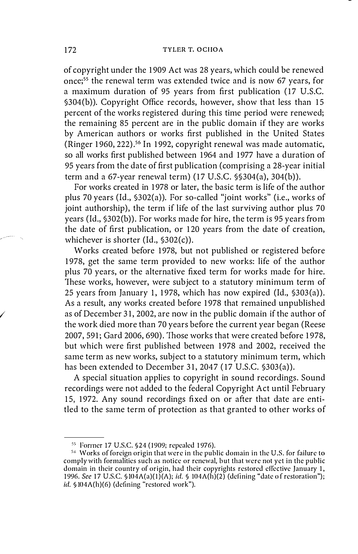of copyright under the 1909 Act was 28 years, which could be renewed once;55 the renewal term was extended twice and is now 67 years, for a maximum duration of 95 years from first publication ( 17 U.S.c. §304(b)). Copyright Office records, however, show that less than 15 percent of the works registered during this time period were renewed; the remaining 85 percent are in the public domain if they are works by American authors or works first published in the United States (Ringer 1960, 222).56 In 1992, copyright renewal was made automatic, so all works first published between 1964 and 1977 have a duration of 95 years from the date of first publication (comprising a 28-year initial term and a 67-year renewal term) (17 U.S.c. §§304(a), 304(b)).

For works created in 1978 or later, the basic term is life of the author plus 70 years (Id.,  $$302(a)$ ). For so-called "joint works" (i.e., works of joint authorship), the term if life of the last surviving author plus 70 years (Id., §302(b)). For works made for hire, the term is 95 years from the date of first publication, or 120 years from the date of creation, whichever is shorter (Id., §302(c)).

Works created before 1978, but not published or registered before 1978, get the same term provided to new works: life of the author plus 70 years, or the alternative fixed term for works made for hire. These works, however, were subject to a statutory minimum term of 25 years from January I, 1978, which has now expired (Id., §303(a)). As a result, any works created before 1978 that remained unpublished as of December 31, 2002, are now in the public domain if the author of the work died more than 70 years before the current year began (Reese 2007, 591; Gard 2006, 690). Those works that were created before 1978, but which were first published between 1978 and 2002, received the same term as new works, subject to a statutory minimum term, which has been extended to December 31, 2047 (17 U.S.C. §303(a)).

A special situation applies to copyright in sound recordings. Sound recordings were not added to the federal Copyright Act until February 15, 1972. Any sound recordings fixed on or after that date are entitled to the same term of protection as that granted to other works of

/

<sup>&</sup>lt;sup>55</sup> Former 17 U.S.C. §24 (1909; repealed 1976).

<sup>56</sup> Works of foreign origin that were in the public domain in the U.S. for failure to comply with formalities such as notice or renewal. but that were not yet in the public domain in their country of origin, had their copyrights restored effective January 1, 1996. See 17 U.S.C.  $\sin(4\Lambda(a)(1)(\Lambda); id. \$  104 $\Lambda(h)(2)$  (defining "date of restoration"); id. § I04A(h)(6) (defining "restored work").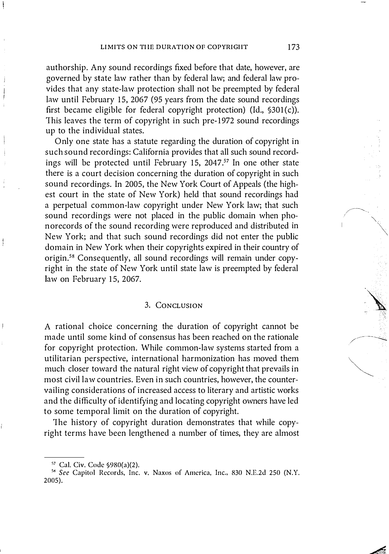authorship. Any sound recordings fixed before that date, however, are governed by state law rather than by federal law; and federal law provides that any state-law protection shall not be preempted by federal law until February 15, 2067 (95 years from the date sound recordings first became eligible for federal copyright protection) (Id.,  $$301(c)$ ). This leaves the term of copyright in such pre- 1972 sound recordings up to the individual states.

Only one state has a statute regarding the duration of copyright in such sound recordings: California provides that all such sound recordings will be protected until February 15, 2047.<sup>57</sup> In one other state there is a court decision concerning the duration of copyright in such sound recordings. In 2005, the New York Court of Appeals (the highest court in the state of New York) held that sound recordings had a perpetual common-law copyright under New York law; that such sound recordings were not placed in the public domain when phonorecords of the sound recording were reproduced and distributed in New York; and that such sound recordings did not enter the public domain in New York when their copyrights expired in their country of origin.58 Consequently, all sound recordings will remain under copyright in the state of New York until state law is preempted by federal law on Pebruary 15, 2067.

#### 3. CONCLUSION

A rational choice concerning the duration of copyright cannot be made until some kind of consensus has been reached on the rationale for copyright protection. While common-law systems started from a utilitarian perspective, international harmonization has moved them much closer toward the natural right view of copyright that prevails in most civil law countries. Even in such countries, however, the countervailing considerations of increased access to literary and artistic works and the difficulty of identifying and locating copyright owners have led to some temporal limit on the duration of copyright.

The history of copyright duration demonstrates that while copyright terms have been lengthened a number of times, they are almost

<sup>57</sup> Cal. Civ. Code §980(a)(2).

<sup>&</sup>lt;sup>58</sup> See Capitol Records, Inc. v. Naxos of America, Inc., 830 N.E.2d 250 (N.Y. 20(5).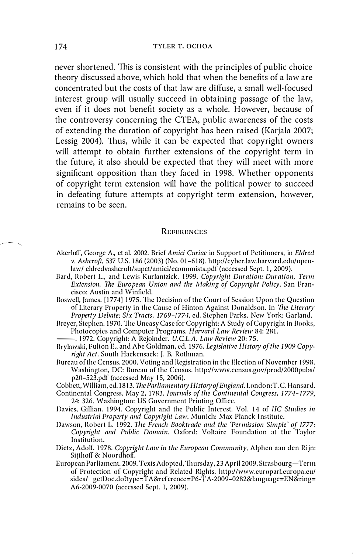never shortened. 'This is consistent with the principles of public choice theory discussed above, which hold that when the benefits of a law are concentrated but the costs of that law are diffuse, a small well-focused interest group will usually succeed in obtaining passage of the law, even if it does not benefit society as a whole. However, because of the controversy concerning the CTEA, public awareness of the costs of extending the duration of copyright has been raised (Karjala 2007; Lessig 2004). Thus, while it can be expected that copyright owners will attempt to obtain further extensions of the copyright term in the future, it also should be expected that they will meet with more significant opposition than they faced in 1998. Whether opponents of copyright term extension will have the political power to succeed in defeating future attempts at copyright term extension, however, remains to be seen.

#### **REFERENCES**

- Akerloff, George A., et al. 2002. Brief Amici Curiae in Support of Petitioners, in Eldred v. Ashcroft, 537 U.S. 1 86 (2003) (No. 01-618). http://cyber.law.harvard.edu/openlaw/ eldredvashcroft/supct/amici/economists.pdf (accessed Sept. 1, 2009).
- Bard, Robert L., and Lewis Kurlantzick. 1999. Copyright Duration: Duration, Term Extension, The European Union and the Making of Copyright Policy. San Francisco: Austin and Winfield.
- Boswell, James. [1774] 1975. The Decision of the Court of Session Upon the Question of Literary Property in the Cause of Hinton Against Donaldson. In The Literary Property Debate: Six Tracts, 1769-1774, ed. Stephen Parks. New York: Garland.
- Breyer, Stephen. 1970. The Uneasy Case for Copyright: A Study of Copyright in Books,<br>Photocopies and Computer Programs. Harvard Law Review 84: 281. Photocopies and Computer Programs. *Harvard Law Review* 84: 281.<br>1972. Copyright: A Rejoinder. U.C.L.A. Law Review 20: 75.
- 
- Brylawski, Fulton E., and Abe Goldman, ed. 1976. Legislative History of the 1909 Copyright Act. South Hackensack: J. B. Rothman.
- Bureau of the Census. 2000. Voting and Registration in the Election of November 1 998. Washington, DC: Bureau of the Census. http://www.census.gov/prod/2000pubs/ p20-523.pdf (accessed May 15, 2006).

Cobbett, William, ed. 1813. The Parliamentary History of England. London: T.C. Hansard.

- Continental Congress. May 2, 1783. Journals of the Continental Congress, 1774–1779, 24: 326. Washington: US Government Printing Office.
- Davies, Gillian. 1994. Copyright and the Public Interest. Vol. 14 of IIC Studies in Industrial Property and Copyright Law. Munich: Max Planck Institute.
- Dawson, Robert L. 1 992. TIle French Booktrade and the 'Permission Simple' of 1777: Copyright and Public Domain. Oxford: Voltaire Foundation at the Taylor Institution.
- Dietz, Adolf. 1978. Copyright Law in the European Community. Alphen aan den Rijn: Sijthoff & Noordhoff.
- European Parliament. 2009. Texts Adopted, 'Ihursday, 23 April 2009, Strasbourg-Term of Protection of Copyright and Related Rights. http://www.europarl.europa.eu/ sidesl getI)oc.do?type=TA&rcference=P6-'j'A-2009-0282&language=EN&ring= A6-2009-0070 (accessed Sept. I, 2(09).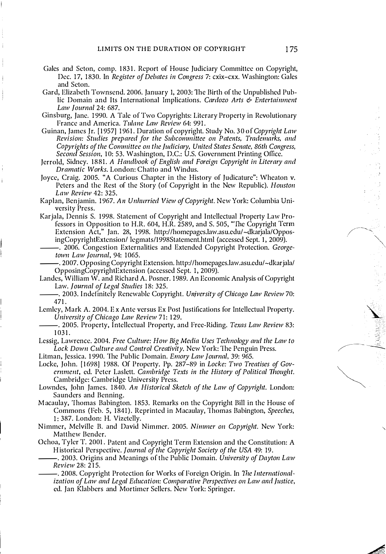- Gales and Seton, comp. 1831. Report of House Judiciary Committee on Copyright, Dec. 17, 1830. In Register of Debates in Congress 7: cxix-cxx. Washington: Gales and Seton.
- Gard, Elizabeth Townsend. 2006. January 1, 2003: 1he Birth of the Unpublished Public Domain and Its International Implications. Cardozo Arts & Entertainment Law lournal 24: 687.
- Ginsburg, Jane. 1 990. A Talc of Two Copyrights: Literary Property in Revolutionary France and America. Tulane Law Review 64: 991.
- Guinan, James Jr. [1957] 1961. Duration of copyright. Study No. 30 of Copyright Law Revision: Studies prepared for the Subcommittee on Patents, Trademarks, and Copyrights of the Committee on the Judiciary, United States Senate, 86th Congress, Second Session, 10: 53. Washington, D.C.: U.S. Government Printing Office.
- Jerrold, Sidney. 1881. A Handbook of English and Foreign Copyright in Literary and Dramatic Works. London: Chatto and Windus.
- Joyce, Craig. 2005. "A Curious Chapter in the History of Judicature": Wheaton V. Peters and the Rest of the Story (of Copyright in the New Republic). Houston Law Review 42: 325.
- Kaplan, Benjamin. 1967. An Unhurried View of Copyright. New York: Columbia University Press.
- Karjala, Dennis S. 1 998. Statement of Copyright and Intellectual Property Law Professors in Opposition to H.R. 604, H.R. 2589, and S. 505, "The Copyright Term Extension Act," Jan. 28, 1 998. http://homepages.law.asu.edu/-dkarjala/Oppos
- ingCopyrightExtension/ legmats/1998Statement.html (accessed Sept. 1, 2009).<br>2006. Congestion Externalities and Extended Copyright Protection. *George*. town Law Journal, 94: 1065.
- --. 2007. Opposing Copyright Extension. http://homepages.law.asu.edu/-dkarjala/ OpposingCopyrightExtension (accessed Sept. 1, 2009).
- Landes, William W. and Richard A. Posner. 1989. An Economic Analysis of Copyright<br>Law. Journal of Legal Studies 18: 325.
- --Law. lOllmal of Legal Stlldies 1 8: 325. . 2003. I ndefinitely Renewable Copyright. Ulliversity of Chicago Law Review 70: 471.
- Lemley, Mark A. 2004. Ex Ante versus Ex Post Justifications for Intellectual Property.
- University of Chicago Law Review 71: 129.<br>2005. Property, Intellectual Property, and Free-Riding. *Texas Law Review* 83: 1 031.
- Lessig, Lawrence. 2004. Free Culture: How Big Media Uses Technology and the Law to Lock Down Culture and Control Creativity, New York: The Penguin Press.
- Litman, Jessica. 1990. The Public Domain. *Emory Law Journal*, 39: 965.
- Locke, John. [1698] 1988. Of Property. Pp. 287-89 in Locke: Two Treatises of Government, ed. Peter Laslett. Cambridge Texts in the History of Political Thought. Cambridge: Cambridge University Press.
- Lowndes, John James. 1840. An Historical Sketch of the Law of Copyright. London: Saunders and Benning.
- M acaulay, Thomas Babington. 1 853. Remarks on the Copyright Bill in the House of Commons (Feb. 5, 1841). Reprinted in Macaulay, Thomas Babington, Speeches, 1: 387. London: H. Vizetelly.
- Nimmer, Melville B. and David Nimmer. 2005. Nimmer on Copyright. New York: Matthew Bender.
- Ochoa, Tyler T. 2001. Patent and Copyright Term Extension and the Constitution: A Historical Perspective. Journal of the Copyright Society of the USA 49: 19.
- --. 2003. Origins and Meanings of the Public Domain. Ulliversity of Dayton Law
- Review 28: 215.<br>--------------- 2008. Copyright Protection for Works of Foreign Origin. In *The International*. ization of Law and Legal Education: Comparative Perspectives on Law and Justice, cd. Jan Klabbers and Mortimer Sellers. New York: Springer.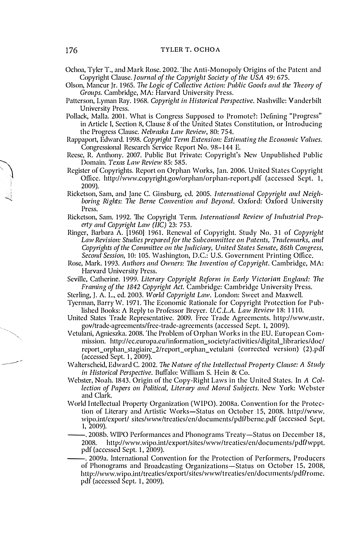Ochoa, Tyler T., and Mark Rose. 2002. 'lhe Anti-Monopoly Origins of the Patent and Copyright Clause. Journal of the Copyright Society of thc USA 49: 675.

Olson, Mancur Jr. 1965. The Logic of Collective Action: Public Goods and the Theory of Groups. Cambridge, MA: Harvard University Press.

- Patterson, Lyman Ray. 1968. Copyright in Historical Perspective. Nashville: Vanderbilt University Press.
- Pollack, MalIa. 2001. What is Congress Supposed to Promote?: Defining "Progress" in Article I, Section 8, Clause 8 of the United States Constitution, or Introducing the Progress Clause. Nebraska Law Rcvicw, 80: 754.
- Rappaport, Edward. 1998. Copyright Term Extension: Estimating the Economic Values. Congressional Research Service Report No. 98- <sup>1</sup> 44 E.
- Reese, R. Anthony. 2007. Public But Private: Copyright's New Unpublished Public Domain. Texas Law Review 85: 585.
- Register of Copyrights. Report on Orphan Works, Jan. 2006. United States Copyright Office. http://www.copyright.gov/orphan/orphan-report.pdf (accessed Sept. 1, 2(09).
- Ricketson, Sam, and Jane C. Ginsburg, ed. 2005. International Copyright and Neighboring Rights: The Berne Convention and Beyond. Oxford: Oxford University Press.
- Ricketson, Sam. 1992. The Copyright Term. International Review of Industrial Property and Copyright Law (IIC) 23: 753.
- Ringer, Barbara A. [1960] 1961. Renewal of Copyright. Study No. 31 of Copyright Law Revision: Studies prepared for the Subcommittee on Patents, Trademarks, and Copyrights of the Committee on the Judiciary, United States Senate, 86th Congrcss. Second Session, 10: 105. Washington, D.C.: U.S. Government Printing Office.
- Rose, Mark. 1993. Authors and Owners: The Invention of Copyright. Cambridge, MA: Harvard University Press.
- Seville, Catherine. 1999. Literary Copyright Reform in Early Victorian England: The Framing of the 1842 Copyright Act. Cambridge: Cambridge University Press.
- Sterling, J. A. L., ed. 2003. World Copyright Law. London: Sweet and Maxwell.
- Tyerman, Barry W. 1971. The Economic Rationale for Copyright Protection for Published Books: A Reply to Professor Breyer. U.C.L.A. Law Review 18: 1110.
- United States Trade Representative. 2009. Free Trade Agreements. htlp://www.ustr. gov/trade-agreements/free-trade-agreements (accessed Sept. 1, 2009).
- Vetulani, Agnieszka. 2008. 'lhe Problem of Orphan Works in the EU. European Commission. http://ec.europa.eu/information\_society/activities/ digital\_libraries/ doc/ report\_orphan\_stagiaire\_2/report\_orphan\_ vetulani (corrected version) (2).pdf (accessed Sept. 1, 2009).
- Walterscheid, Edward C. 2002. The Nature of the Intellectual Property Clause: A Study in Historical Perspective. Buffalo: William S. Hcin & Co.
- Webster, Noah. 1843. Origin of the Copy-Right Laws in the United States. In A Collection of Papers on Political, Literary and Moral Subjects. New York: Webster and Clark.
- World Intellectual Property Organization (WIPO). 2008a. Convention for the Protection of Literary and Artistic Works-Status on October IS, 2008. http://www. wipo.int/export/ sites/www/treaties/en/documents/pdf/berne.pdf (accessed Sept. 1, 2009).
	- . 2008b. WIPO Performances and Phonograms Treaty-Status on December 18, 2008. http://www.wipo.int/export/sites/www/treaties/en/documents/pdf/wppt. pdf (accessed Sept. 1, 2009).
- --. 2009a. International Convention for the Protection of Performers, P roducers of Phonograms and Broadcasting Organizations-Status on October IS, 2008, http://www.wipo.int/treaties/export/sites/www/treaties/en/documents/pdf/rome. pdf (accessed Sept. 1, 2009).